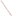